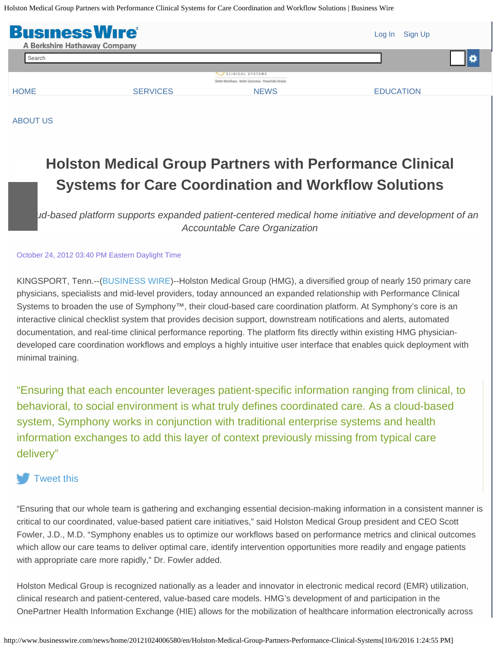<span id="page-0-0"></span>Holston Medical Group Partners with Performance Clinical Systems for Care Coordination and Workflow Solutions | Business Wire



[ABOUT US](http://www.businesswire.com/portal/site/home/about/)

# **Holston Medical Group Partners with Performance Clinical Systems for Care Coordination and Workflow Solutions**

*Cloud-based platform supports expanded patient-centered medical home initiative and development of an Accountable Care Organization*

#### October 24, 2012 03:40 PM Eastern Daylight Time

KINGSPORT, Tenn.--[\(BUSINESS WIRE](http://www.businesswire.com/))--Holston Medical Group (HMG), a diversified group of nearly 150 primary care physicians, specialists and mid-level providers, today announced an expanded relationship with Performance Clinical Systems to broaden the use of Symphony<sup>™</sup>, their cloud-based care coordination platform. At Symphony's core is an interactive clinical checklist system that provides decision support, downstream notifications and alerts, automated documentation, and real-time clinical performance reporting. The platform fits directly within existing HMG physiciandeveloped care coordination workflows and employs a highly intuitive user interface that enables quick deployment with minimal training.

"Ensuring that each encounter leverages patient-specific information ranging from clinical, to behavioral, to social environment is what truly defines coordinated care. As a cloud-based system, Symphony works in conjunction with traditional enterprise systems and health information exchanges to add this layer of context previously missing from typical care delivery"

# [Tweet this](#page-0-0)

"Ensuring that our whole team is gathering and exchanging essential decision-making information in a consistent manner is critical to our coordinated, value-based patient care initiatives," said Holston Medical Group president and CEO Scott Fowler, J.D., M.D. "Symphony enables us to optimize our workflows based on performance metrics and clinical outcomes which allow our care teams to deliver optimal care, identify intervention opportunities more readily and engage patients with appropriate care more rapidly," Dr. Fowler added.

Holston Medical Group is recognized nationally as a leader and innovator in electronic medical record (EMR) utilization, clinical research and patient-centered, value-based care models. HMG's development of and participation in the OnePartner Health Information Exchange (HIE) allows for the mobilization of healthcare information electronically across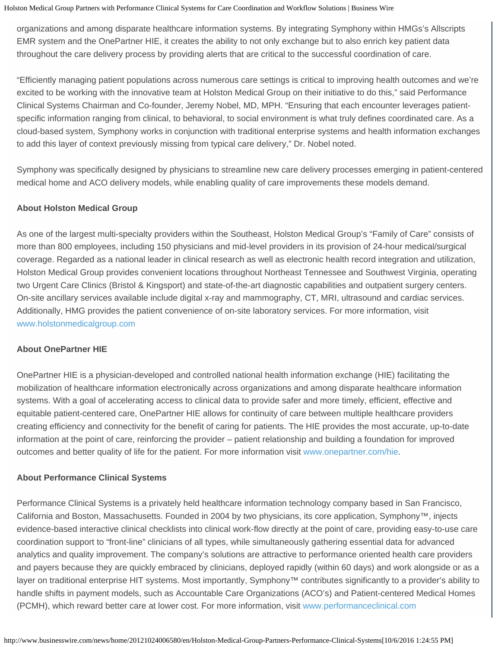organizations and among disparate healthcare information systems. By integrating Symphony within HMGs's Allscripts EMR system and the OnePartner HIE, it creates the ability to not only exchange but to also enrich key patient data throughout the care delivery process by providing alerts that are critical to the successful coordination of care.

"Efficiently managing patient populations across numerous care settings is critical to improving health outcomes and we're excited to be working with the innovative team at Holston Medical Group on their initiative to do this," said Performance Clinical Systems Chairman and Co-founder, Jeremy Nobel, MD, MPH. "Ensuring that each encounter leverages patientspecific information ranging from clinical, to behavioral, to social environment is what truly defines coordinated care. As a cloud-based system, Symphony works in conjunction with traditional enterprise systems and health information exchanges to add this layer of context previously missing from typical care delivery," Dr. Nobel noted.

Symphony was specifically designed by physicians to streamline new care delivery processes emerging in patient-centered medical home and ACO delivery models, while enabling quality of care improvements these models demand.

#### **About Holston Medical Group**

As one of the largest multi-specialty providers within the Southeast, Holston Medical Group's "Family of Care" consists of more than 800 employees, including 150 physicians and mid-level providers in its provision of 24-hour medical/surgical coverage. Regarded as a national leader in clinical research as well as electronic health record integration and utilization, Holston Medical Group provides convenient locations throughout Northeast Tennessee and Southwest Virginia, operating two Urgent Care Clinics (Bristol & Kingsport) and state-of-the-art diagnostic capabilities and outpatient surgery centers. On-site ancillary services available include digital x-ray and mammography, CT, MRI, ultrasound and cardiac services. Additionally, HMG provides the patient convenience of on-site laboratory services. For more information, visit [www.holstonmedicalgroup.com](http://cts.businesswire.com/ct/CT?id=smartlink&url=http%3A%2F%2Fwww.holstonmedicalgroup.com&esheet=50453446&lan=en-US&anchor=www.holstonmedicalgroup.com&index=1&md5=a86ce7f44563103395465b30d596c5d6)

#### **About OnePartner HIE**

OnePartner HIE is a physician-developed and controlled national health information exchange (HIE) facilitating the mobilization of healthcare information electronically across organizations and among disparate healthcare information systems. With a goal of accelerating access to clinical data to provide safer and more timely, efficient, effective and equitable patient-centered care, OnePartner HIE allows for continuity of care between multiple healthcare providers creating efficiency and connectivity for the benefit of caring for patients. The HIE provides the most accurate, up-to-date information at the point of care, reinforcing the provider – patient relationship and building a foundation for improved outcomes and better quality of life for the patient. For more information visit [www.onepartner.com/hie](http://cts.businesswire.com/ct/CT?id=smartlink&url=http%3A%2F%2Fwww.onepartner.com%2Fhie&esheet=50453446&lan=en-US&anchor=www.onepartner.com%2Fhie&index=2&md5=0a3127bd759a372529b949a9ea5ea034).

### **About Performance Clinical Systems**

Performance Clinical Systems is a privately held healthcare information technology company based in San Francisco, California and Boston, Massachusetts. Founded in 2004 by two physicians, its core application, Symphony™, injects evidence-based interactive clinical checklists into clinical work-flow directly at the point of care, providing easy-to-use care coordination support to "front-line" clinicians of all types, while simultaneously gathering essential data for advanced analytics and quality improvement. The company's solutions are attractive to performance oriented health care providers and payers because they are quickly embraced by clinicians, deployed rapidly (within 60 days) and work alongside or as a layer on traditional enterprise HIT systems. Most importantly, Symphony™ contributes significantly to a provider's ability to handle shifts in payment models, such as Accountable Care Organizations (ACO's) and Patient-centered Medical Homes (PCMH), which reward better care at lower cost. For more information, visit [www.performanceclinical.com](http://cts.businesswire.com/ct/CT?id=smartlink&url=http%3A%2F%2Fwww.performanceclinical.com&esheet=50453446&lan=en-US&anchor=www.performanceclinical.com&index=3&md5=7818c78a82efc4fde190312a171b747b)